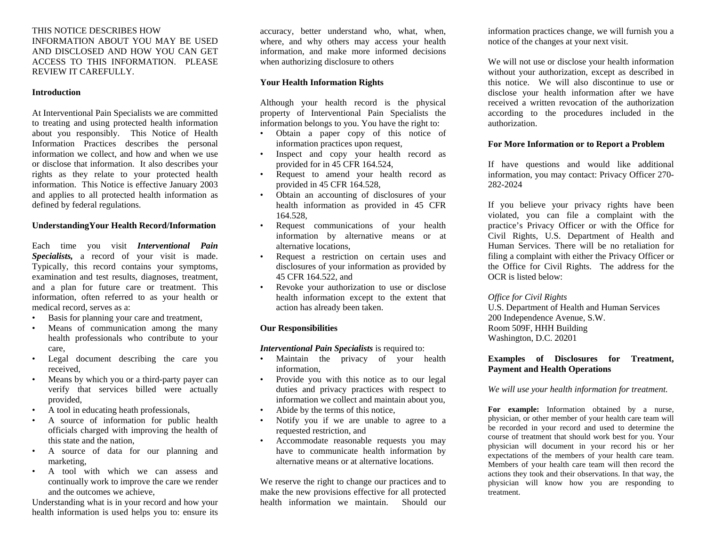THIS NOTICE DESCRIBES HOW INFORMATION ABOUT YOU MAY BE USED AND DISCLOSED AND HOW YOU CAN GET ACCESS TO THIS INFORMATION. PLEASE REVIEW IT CAREFULLY.

#### **Introduction**

At Interventional Pain Specialists we are committed to treating and using protected health information about you responsibly. This Notice of Health Information Practices describes the personal information we collect, and how and when we use or disclose that information. It also describes your rights as they relate to your protected health information. This Notice is effective January 2003 and applies to all protected health information as defined by federal regulations.

#### **UnderstandingYour Health Record/Information**

Each time you visit *Interventional Pain Specialists,* a record of your visit is made. Typically, this record contains your symptoms, examination and test results, diagnoses, treatment, and a plan for future care or treatment. This information, often referred to as your health or medical record, serves as a:

- Basis for planning your care and treatment,
- Means of communication among the many health professionals who contribute to your care,
- Legal document describing the care you received,
- Means by which you or a third-party payer can verify that services billed were actually provided,
- A tool in educating heath professionals,
- A source of information for public health officials charged with improving the health of this state and the nation,
- A source of data for our planning and marketing,
- A tool with which we can assess and continually work to improve the care we render and the outcomes we achieve,

Understanding what is in your record and how your health information is used helps you to: ensure its

accuracy, better understand who, what, when, where, and why others may access your health information, and make more informed decisions when authorizing disclosure to others

### **Your Health Information Rights**

Although your health record is the physical property of Interventional Pain Specialists the information belongs to you. You have the right to:

- Obtain a paper copy of this notice of information practices upon request,
- Inspect and copy your health record as provided for in 45 CFR 164.524,
- Request to amend your health record as provided in 45 CFR 164.528,
- Obtain an accounting of disclosures of your health information as provided in 45 CFR 164.528,
- Request communications of your health information by alternative means or at alternative locations,
- Request a restriction on certain uses and disclosures of your information as provided by 45 CFR 164.522, and
- Revoke your authorization to use or disclose health information except to the extent that action has already been taken.

## **Our Responsibilities**

#### *Interventional Pain Specialists* is required to:

- Maintain the privacy of your health information,
- Provide you with this notice as to our legal duties and privacy practices with respect to information we collect and maintain about you,
- Abide by the terms of this notice,
- Notify you if we are unable to agree to a requested restriction, and
- Accommodate reasonable requests you may have to communicate health information by alternative means or at alternative locations.

We reserve the right to change our practices and to make the new provisions effective for all protected health information we maintain. Should our information practices change, we will furnish you a notice of the changes at your next visit.

We will not use or disclose your health information without your authorization, except as described in this notice. We will also discontinue to use or disclose your health information after we have received a written revocation of the authorization according to the procedures included in the authorization.

## **For More Information or to Report a Problem**

If have questions and would like additional information, you may contact: Privacy Officer 270- 282-2024

If you believe your privacy rights have been violated, you can file a complaint with the practice's Privacy Officer or with the Office for Civil Rights, U.S. Department of Health and Human Services. There will be no retaliation for filing a complaint with either the Privacy Officer or the Office for Civil Rights. The address for the OCR is listed below:

#### *Office for Civil Rights*

U.S. Department of Health and Human Services 200 Independence Avenue, S.W. Room 509F, HHH Building Washington, D.C. 20201

## **Examples of Disclosures for Treatment, Payment and Health Operations**

*We will use your health information for treatment.* 

**For example:** Information obtained by a nurse, physician, or other member of your health care team will be recorded in your record and used to determine the course of treatment that should work best for you. Your physician will document in your record his or her expectations of the members of your health care team. Members of your health care team will then record the actions they took and their observations. In that way, the physician will know how you are responding to treatment.